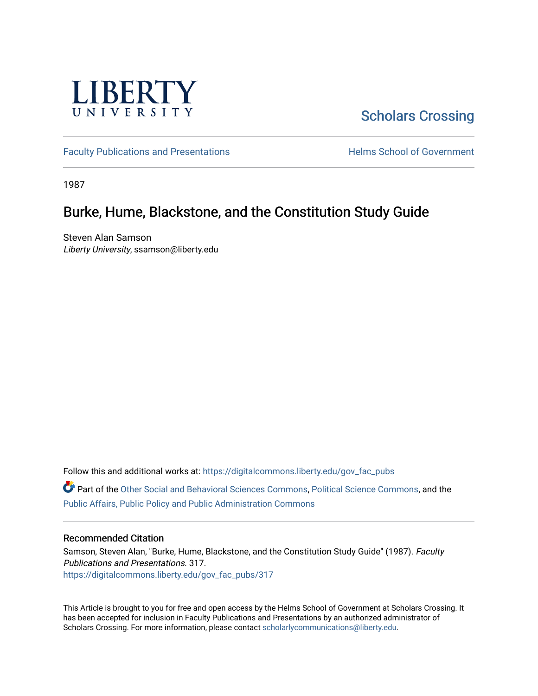

# [Scholars Crossing](https://digitalcommons.liberty.edu/)

[Faculty Publications and Presentations](https://digitalcommons.liberty.edu/gov_fac_pubs) **Exercise School of Government** 

1987

## Burke, Hume, Blackstone, and the Constitution Study Guide

Steven Alan Samson Liberty University, ssamson@liberty.edu

Follow this and additional works at: [https://digitalcommons.liberty.edu/gov\\_fac\\_pubs](https://digitalcommons.liberty.edu/gov_fac_pubs?utm_source=digitalcommons.liberty.edu%2Fgov_fac_pubs%2F317&utm_medium=PDF&utm_campaign=PDFCoverPages)

Part of the [Other Social and Behavioral Sciences Commons](http://network.bepress.com/hgg/discipline/437?utm_source=digitalcommons.liberty.edu%2Fgov_fac_pubs%2F317&utm_medium=PDF&utm_campaign=PDFCoverPages), [Political Science Commons](http://network.bepress.com/hgg/discipline/386?utm_source=digitalcommons.liberty.edu%2Fgov_fac_pubs%2F317&utm_medium=PDF&utm_campaign=PDFCoverPages), and the [Public Affairs, Public Policy and Public Administration Commons](http://network.bepress.com/hgg/discipline/393?utm_source=digitalcommons.liberty.edu%2Fgov_fac_pubs%2F317&utm_medium=PDF&utm_campaign=PDFCoverPages)

#### Recommended Citation

Samson, Steven Alan, "Burke, Hume, Blackstone, and the Constitution Study Guide" (1987). Faculty Publications and Presentations. 317. [https://digitalcommons.liberty.edu/gov\\_fac\\_pubs/317](https://digitalcommons.liberty.edu/gov_fac_pubs/317?utm_source=digitalcommons.liberty.edu%2Fgov_fac_pubs%2F317&utm_medium=PDF&utm_campaign=PDFCoverPages)

This Article is brought to you for free and open access by the Helms School of Government at Scholars Crossing. It has been accepted for inclusion in Faculty Publications and Presentations by an authorized administrator of Scholars Crossing. For more information, please contact [scholarlycommunications@liberty.edu.](mailto:scholarlycommunications@liberty.edu)